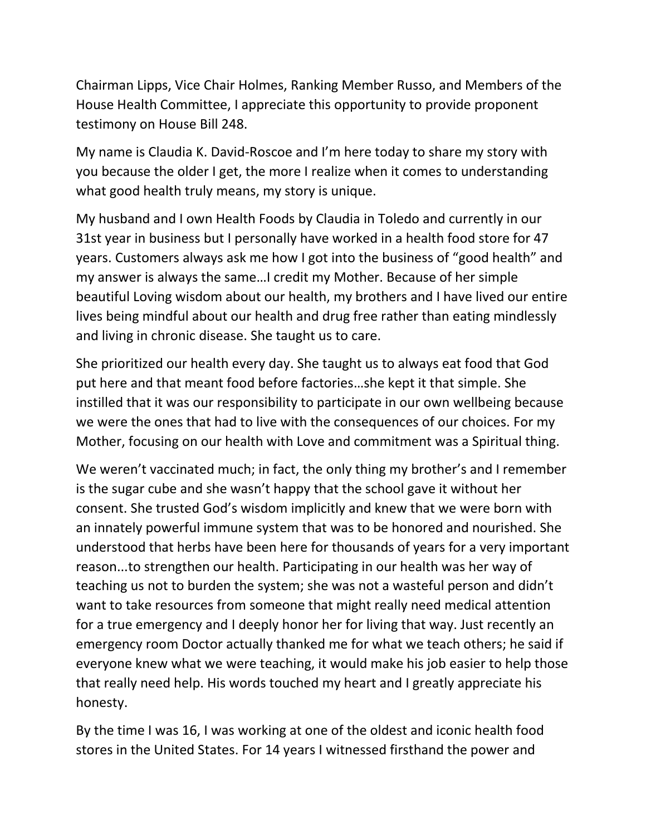Chairman Lipps, Vice Chair Holmes, Ranking Member Russo, and Members of the House Health Committee, I appreciate this opportunity to provide proponent testimony on House Bill 248.

My name is Claudia K. David-Roscoe and I'm here today to share my story with you because the older I get, the more I realize when it comes to understanding what good health truly means, my story is unique.

My husband and I own Health Foods by Claudia in Toledo and currently in our 31st year in business but I personally have worked in a health food store for 47 years. Customers always ask me how I got into the business of "good health" and my answer is always the same…I credit my Mother. Because of her simple beautiful Loving wisdom about our health, my brothers and I have lived our entire lives being mindful about our health and drug free rather than eating mindlessly and living in chronic disease. She taught us to care.

She prioritized our health every day. She taught us to always eat food that God put here and that meant food before factories…she kept it that simple. She instilled that it was our responsibility to participate in our own wellbeing because we were the ones that had to live with the consequences of our choices. For my Mother, focusing on our health with Love and commitment was a Spiritual thing.

We weren't vaccinated much; in fact, the only thing my brother's and I remember is the sugar cube and she wasn't happy that the school gave it without her consent. She trusted God's wisdom implicitly and knew that we were born with an innately powerful immune system that was to be honored and nourished. She understood that herbs have been here for thousands of years for a very important reason...to strengthen our health. Participating in our health was her way of teaching us not to burden the system; she was not a wasteful person and didn't want to take resources from someone that might really need medical attention for a true emergency and I deeply honor her for living that way. Just recently an emergency room Doctor actually thanked me for what we teach others; he said if everyone knew what we were teaching, it would make his job easier to help those that really need help. His words touched my heart and I greatly appreciate his honesty.

By the time I was 16, I was working at one of the oldest and iconic health food stores in the United States. For 14 years I witnessed firsthand the power and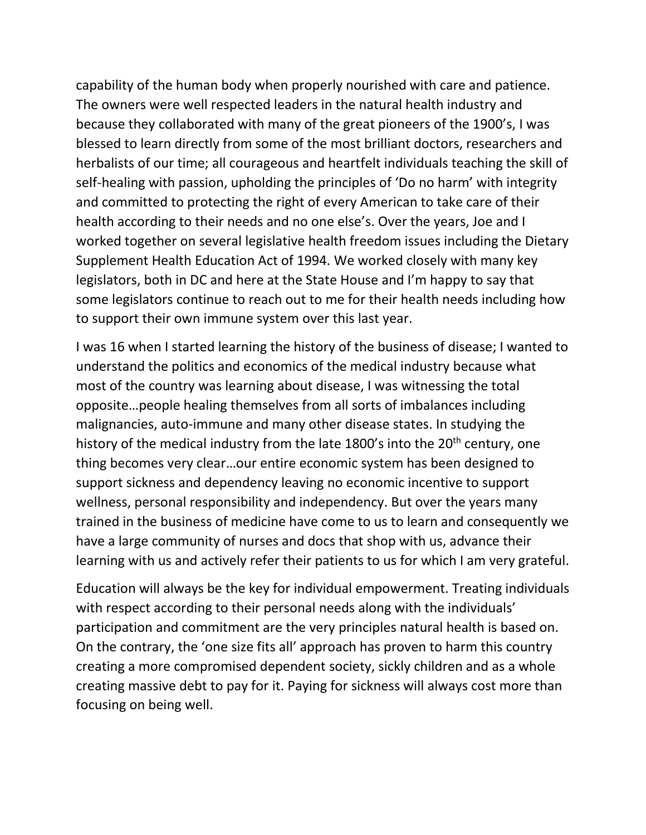capability of the human body when properly nourished with care and patience. The owners were well respected leaders in the natural health industry and because they collaborated with many of the great pioneers of the 1900's, I was blessed to learn directly from some of the most brilliant doctors, researchers and herbalists of our time; all courageous and heartfelt individuals teaching the skill of self-healing with passion, upholding the principles of 'Do no harm' with integrity and committed to protecting the right of every American to take care of their health according to their needs and no one else's. Over the years, Joe and I worked together on several legislative health freedom issues including the Dietary Supplement Health Education Act of 1994. We worked closely with many key legislators, both in DC and here at the State House and I'm happy to say that some legislators continue to reach out to me for their health needs including how to support their own immune system over this last year.

I was 16 when I started learning the history of the business of disease; I wanted to understand the politics and economics of the medical industry because what most of the country was learning about disease, I was witnessing the total opposite…people healing themselves from all sorts of imbalances including malignancies, auto-immune and many other disease states. In studying the history of the medical industry from the late 1800's into the  $20<sup>th</sup>$  century, one thing becomes very clear…our entire economic system has been designed to support sickness and dependency leaving no economic incentive to support wellness, personal responsibility and independency. But over the years many trained in the business of medicine have come to us to learn and consequently we have a large community of nurses and docs that shop with us, advance their learning with us and actively refer their patients to us for which I am very grateful.

Education will always be the key for individual empowerment. Treating individuals with respect according to their personal needs along with the individuals' participation and commitment are the very principles natural health is based on. On the contrary, the 'one size fits all' approach has proven to harm this country creating a more compromised dependent society, sickly children and as a whole creating massive debt to pay for it. Paying for sickness will always cost more than focusing on being well.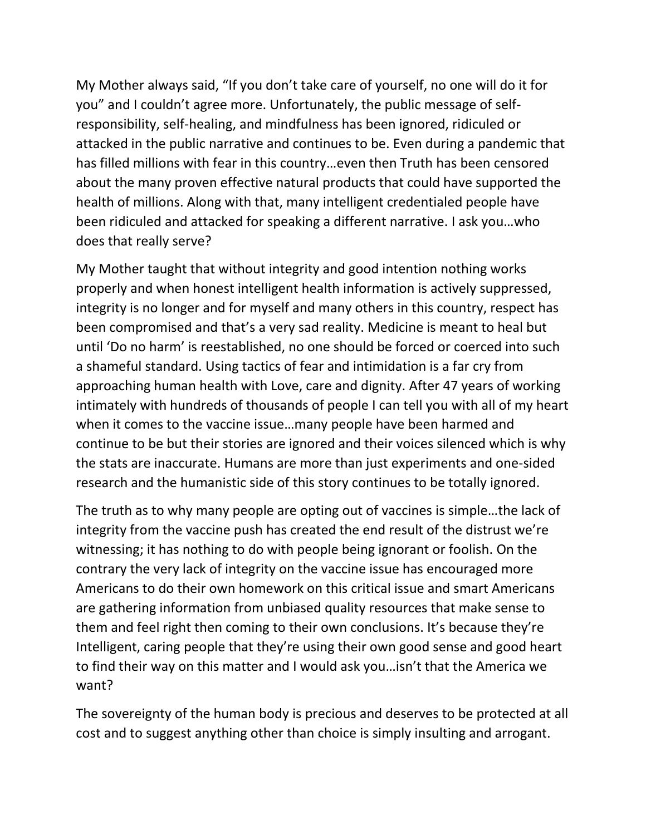My Mother always said, "If you don't take care of yourself, no one will do it for you" and I couldn't agree more. Unfortunately, the public message of selfresponsibility, self-healing, and mindfulness has been ignored, ridiculed or attacked in the public narrative and continues to be. Even during a pandemic that has filled millions with fear in this country…even then Truth has been censored about the many proven effective natural products that could have supported the health of millions. Along with that, many intelligent credentialed people have been ridiculed and attacked for speaking a different narrative. I ask you…who does that really serve?

My Mother taught that without integrity and good intention nothing works properly and when honest intelligent health information is actively suppressed, integrity is no longer and for myself and many others in this country, respect has been compromised and that's a very sad reality. Medicine is meant to heal but until 'Do no harm' is reestablished, no one should be forced or coerced into such a shameful standard. Using tactics of fear and intimidation is a far cry from approaching human health with Love, care and dignity. After 47 years of working intimately with hundreds of thousands of people I can tell you with all of my heart when it comes to the vaccine issue…many people have been harmed and continue to be but their stories are ignored and their voices silenced which is why the stats are inaccurate. Humans are more than just experiments and one-sided research and the humanistic side of this story continues to be totally ignored.

The truth as to why many people are opting out of vaccines is simple…the lack of integrity from the vaccine push has created the end result of the distrust we're witnessing; it has nothing to do with people being ignorant or foolish. On the contrary the very lack of integrity on the vaccine issue has encouraged more Americans to do their own homework on this critical issue and smart Americans are gathering information from unbiased quality resources that make sense to them and feel right then coming to their own conclusions. It's because they're Intelligent, caring people that they're using their own good sense and good heart to find their way on this matter and I would ask you…isn't that the America we want?

The sovereignty of the human body is precious and deserves to be protected at all cost and to suggest anything other than choice is simply insulting and arrogant.